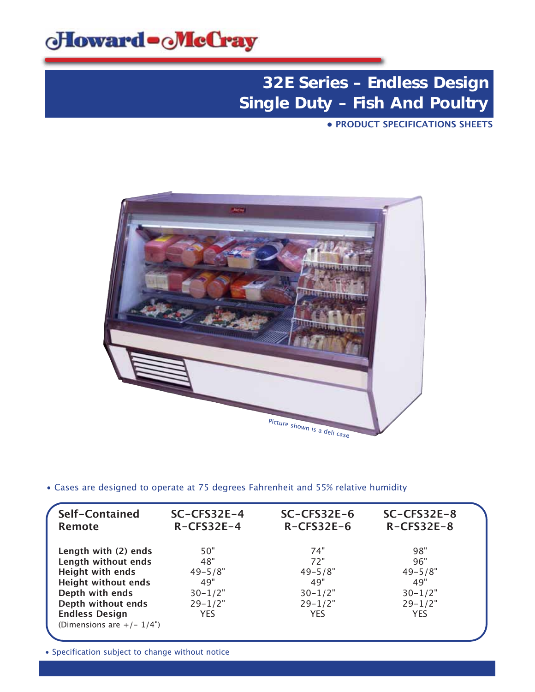

**• PRODUCT SPECIFICATIONS SHEETS**



• Cases are designed to operate at 75 degrees Fahrenheit and 55% relative humidity

| Self-Contained<br><b>Remote</b> | SC-CFS32E-4<br>$R-CFS32E-4$ | $SC-CFS32E-6$<br>$R-CFS32E-6$ | $SC-CFS32E-8$<br>$R-CFS32E-8$ |  |
|---------------------------------|-----------------------------|-------------------------------|-------------------------------|--|
| Length with (2) ends            | 50"                         | 74"                           | 98"                           |  |
| Length without ends             | 48"                         | 72"                           | 96"                           |  |
| <b>Height with ends</b>         | $49 - 5/8"$                 | $49 - 5/8"$                   | $49 - 5/8"$                   |  |
| <b>Height without ends</b>      | 49"                         | 49"                           | 49"                           |  |
| Depth with ends                 | $30 - 1/2"$                 | $30 - 1/2"$                   | $30 - 1/2"$                   |  |
| Depth without ends              | $29 - 1/2"$                 | $29 - 1/2"$                   | $29 - 1/2"$                   |  |
| <b>Endless Design</b>           | <b>YES</b>                  | <b>YES</b>                    | <b>YES</b>                    |  |
| (Dimensions are $+/- 1/4$ ")    |                             |                               |                               |  |
|                                 |                             |                               |                               |  |

• Specification subject to change without notice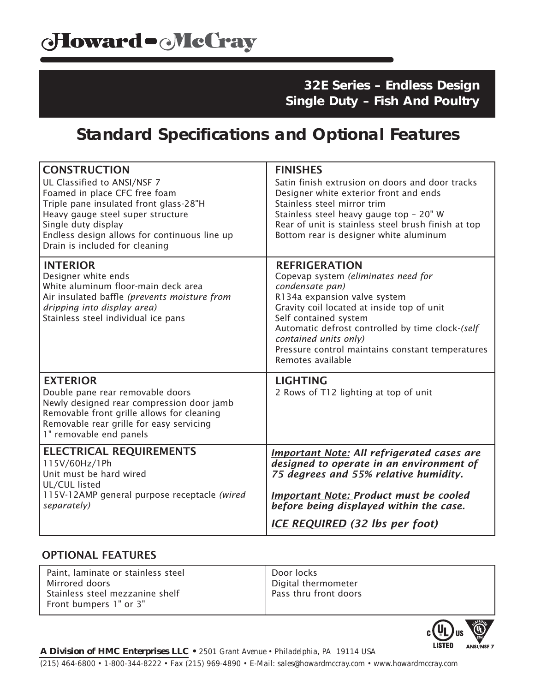## **Standard Specifications and Optional Features**

| <b>CONSTRUCTION</b><br>UL Classified to ANSI/NSF 7<br>Foamed in place CFC free foam<br>Triple pane insulated front glass-28"H<br>Heavy gauge steel super structure<br>Single duty display<br>Endless design allows for continuous line up<br>Drain is included for cleaning | <b>FINISHES</b><br>Satin finish extrusion on doors and door tracks<br>Designer white exterior front and ends<br>Stainless steel mirror trim<br>Stainless steel heavy gauge top - 20" W<br>Rear of unit is stainless steel brush finish at top<br>Bottom rear is designer white aluminum                                                     |
|-----------------------------------------------------------------------------------------------------------------------------------------------------------------------------------------------------------------------------------------------------------------------------|---------------------------------------------------------------------------------------------------------------------------------------------------------------------------------------------------------------------------------------------------------------------------------------------------------------------------------------------|
| <b>INTERIOR</b><br>Designer white ends<br>White aluminum floor-main deck area<br>Air insulated baffle (prevents moisture from<br>dripping into display area)<br>Stainless steel individual ice pans                                                                         | <b>REFRIGERATION</b><br>Copevap system (eliminates need for<br>condensate pan)<br>R134a expansion valve system<br>Gravity coil located at inside top of unit<br>Self contained system<br>Automatic defrost controlled by time clock-(self<br>contained units only)<br>Pressure control maintains constant temperatures<br>Remotes available |
| <b>EXTERIOR</b><br>Double pane rear removable doors<br>Newly designed rear compression door jamb<br>Removable front grille allows for cleaning<br>Removable rear grille for easy servicing<br>1" removable end panels                                                       | <b>LIGHTING</b><br>2 Rows of T12 lighting at top of unit                                                                                                                                                                                                                                                                                    |
| <b>ELECTRICAL REQUIREMENTS</b><br>115V/60Hz/1Ph<br>Unit must be hard wired<br>UL/CUL listed<br>115V-12AMP general purpose receptacle (wired<br>separately)                                                                                                                  | <b>Important Note: All refrigerated cases are</b><br>designed to operate in an environment of<br>75 degrees and 55% relative humidity.<br><b>Important Note: Product must be cooled</b><br>before being displayed within the case.<br><b>ICE REQUIRED</b> (32 lbs per foot)                                                                 |

#### OPTIONAL FEATURES

| Paint, laminate or stainless steel                        | Door locks            |
|-----------------------------------------------------------|-----------------------|
| Mirrored doors                                            | Digital thermometer   |
| Stainless steel mezzanine shelf<br>Front bumpers 1" or 3" | Pass thru front doors |
|                                                           |                       |



*A Division of HMC Enterprises LLC • 2501 Grant Avenue • Philadelphia, PA 19114 USA (215) 464-6800 • 1-800-344-8222 • Fax (215) 969-4890 • E-Mail: sales@howardmccray.com • www.howardmccray.com*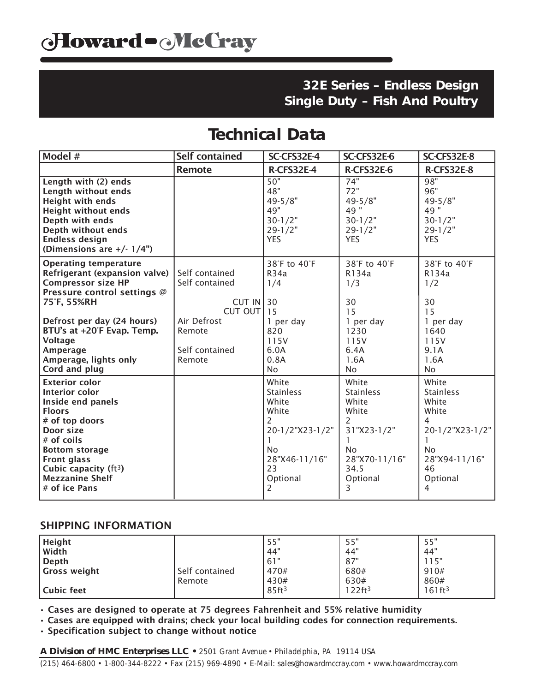## **Technical Data**

| Model #                                                                                                                                                                                                                                            | <b>Self contained</b>                                           | SC-CFS32E-4                                                                                                                                                  | SC-CFS32E-6                                                                                                                 | SC-CFS32E-8                                                                                                                              |
|----------------------------------------------------------------------------------------------------------------------------------------------------------------------------------------------------------------------------------------------------|-----------------------------------------------------------------|--------------------------------------------------------------------------------------------------------------------------------------------------------------|-----------------------------------------------------------------------------------------------------------------------------|------------------------------------------------------------------------------------------------------------------------------------------|
|                                                                                                                                                                                                                                                    | <b>Remote</b>                                                   | R-CFS32E-4                                                                                                                                                   | R-CFS32E-6                                                                                                                  | R-CFS32E-8                                                                                                                               |
| Length with (2) ends<br>Length without ends<br><b>Height with ends</b><br><b>Height without ends</b><br>Depth with ends<br>Depth without ends<br><b>Endless design</b><br>(Dimensions are $+/- 1/4$ ")                                             |                                                                 | 50"<br>48"<br>$49 - 5/8"$<br>49"<br>$30 - 1/2"$<br>$29 - 1/2"$<br><b>YES</b>                                                                                 | 74"<br>72"<br>$49 - 5/8"$<br>49"<br>$30 - 1/2"$<br>$29 - 1/2"$<br><b>YES</b>                                                | 98"<br>96"<br>$49 - 5/8"$<br>49"<br>$30 - 1/2"$<br>$29 - 1/2"$<br><b>YES</b>                                                             |
| <b>Operating temperature</b><br>Refrigerant (expansion valve)<br><b>Compressor size HP</b><br>Pressure control settings @<br>75°F, 55%RH                                                                                                           | Self contained<br>Self contained<br>$CUT IN$ 30<br>CUT OUT   15 | 38°F to 40°F<br><b>R34a</b><br>1/4                                                                                                                           | 38°F to 40°F<br>R134a<br>1/3<br>30<br>15                                                                                    | 38°F to 40°F<br>R134a<br>1/2<br>30<br>15                                                                                                 |
| Defrost per day (24 hours)<br>BTU's at +20°F Evap. Temp.<br><b>Voltage</b><br>Amperage<br>Amperage, lights only<br>Cord and plug                                                                                                                   | Air Defrost<br>Remote<br>Self contained<br>Remote               | 1 per day<br>820<br>115V<br>6.0A<br>0.8A<br><b>No</b>                                                                                                        | 1 per day<br>1230<br>115V<br>6.4A<br>1.6A<br><b>No</b>                                                                      | 1 per day<br>1640<br>115V<br>9.1A<br>1.6A<br><b>No</b>                                                                                   |
| <b>Exterior color</b><br>Interior color<br>Inside end panels<br><b>Floors</b><br># of top doors<br>Door size<br>$#$ of coils<br><b>Bottom storage</b><br><b>Front glass</b><br>Cubic capacity ( $ft3$ )<br><b>Mezzanine Shelf</b><br># of ice Pans |                                                                 | White<br><b>Stainless</b><br>White<br>White<br>$\overline{2}$<br>20-1/2"X23-1/2"<br>1<br>N <sub>o</sub><br>28"X46-11/16"<br>23<br>Optional<br>$\overline{2}$ | White<br><b>Stainless</b><br>White<br>White<br>2<br>31"X23-1/2"<br>N <sub>o</sub><br>28"X70-11/16"<br>34.5<br>Optional<br>3 | White<br><b>Stainless</b><br>White<br>White<br>4<br>20-1/2"X23-1/2"<br>$\mathbf{1}$<br><b>No</b><br>28"X94-11/16"<br>46<br>Optional<br>4 |

### SHIPPING INFORMATION

| Height              |                | 55"               | 55"                   | 55"                |
|---------------------|----------------|-------------------|-----------------------|--------------------|
| <b>Width</b>        |                | .44"              | 44"                   | 44"                |
| Depth               |                | 161"              | 87"                   | 15"                |
| <b>Gross weight</b> | Self contained | 470#              | 680#                  | 910#               |
|                     | Remote         | 430#              | 630#                  | 860#               |
| Cubic feet          |                | 85ft <sup>3</sup> | $122$ ft <sup>3</sup> | 161ft <sup>3</sup> |

• Cases are designed to operate at 75 degrees Fahrenheit and 55% relative humidity

• Cases are equipped with drains; check your local building codes for connection requirements.

• Specification subject to change without notice

*A Division of HMC Enterprises LLC • 2501 Grant Avenue • Philadelphia, PA 19114 USA (215) 464-6800 • 1-800-344-8222 • Fax (215) 969-4890 • E-Mail: sales@howardmccray.com • www.howardmccray.com*